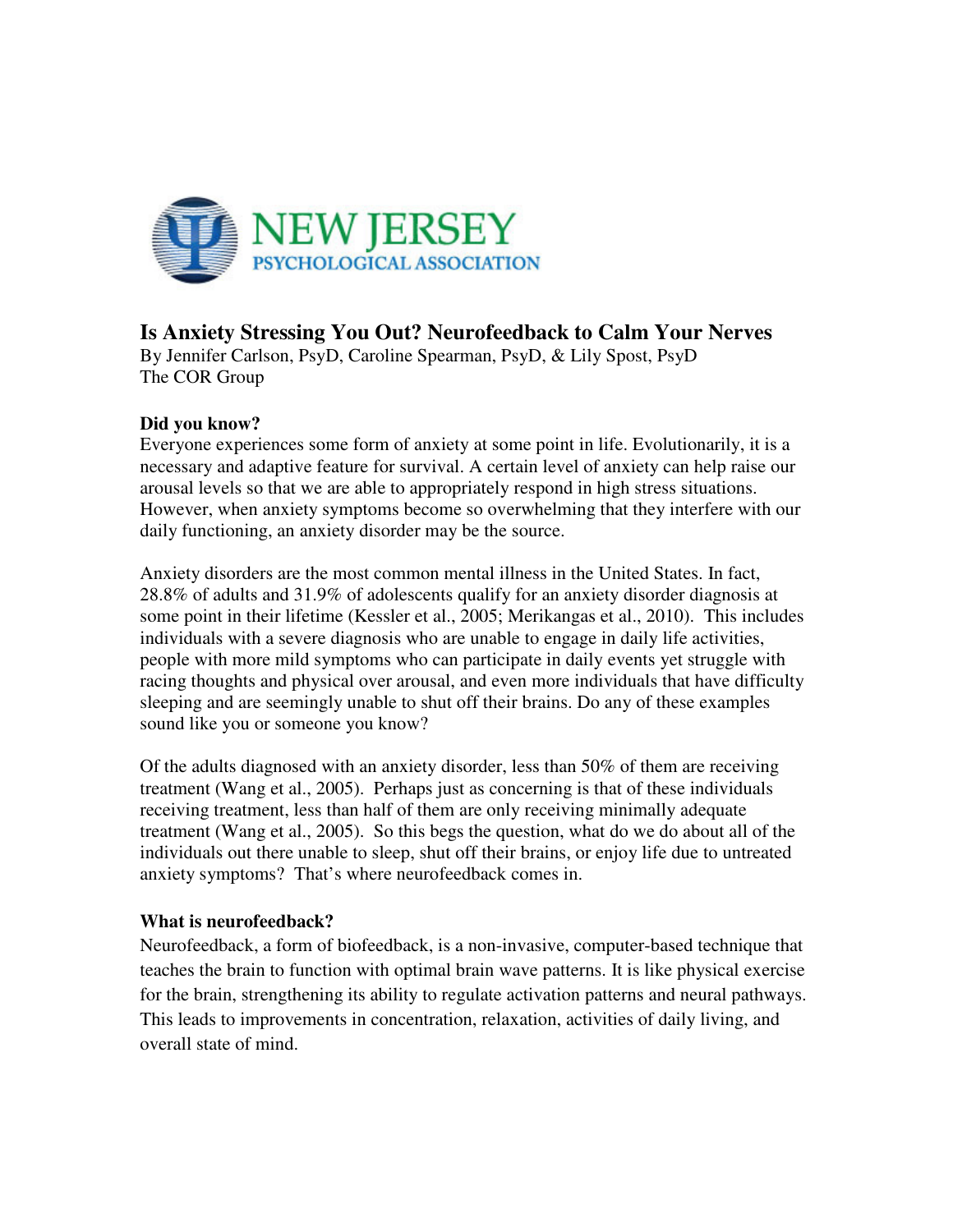

# **Is Anxiety Stressing You Out? Neurofeedback to Calm Your Nerves**

By Jennifer Carlson, PsyD, Caroline Spearman, PsyD, & Lily Spost, PsyD The COR Group

## **Did you know?**

Everyone experiences some form of anxiety at some point in life. Evolutionarily, it is a necessary and adaptive feature for survival. A certain level of anxiety can help raise our arousal levels so that we are able to appropriately respond in high stress situations. However, when anxiety symptoms become so overwhelming that they interfere with our daily functioning, an anxiety disorder may be the source.

Anxiety disorders are the most common mental illness in the United States. In fact, 28.8% of adults and 31.9% of adolescents qualify for an anxiety disorder diagnosis at some point in their lifetime (Kessler et al., 2005; Merikangas et al., 2010). This includes individuals with a severe diagnosis who are unable to engage in daily life activities, people with more mild symptoms who can participate in daily events yet struggle with racing thoughts and physical over arousal, and even more individuals that have difficulty sleeping and are seemingly unable to shut off their brains. Do any of these examples sound like you or someone you know?

Of the adults diagnosed with an anxiety disorder, less than 50% of them are receiving treatment (Wang et al., 2005). Perhaps just as concerning is that of these individuals receiving treatment, less than half of them are only receiving minimally adequate treatment (Wang et al., 2005). So this begs the question, what do we do about all of the individuals out there unable to sleep, shut off their brains, or enjoy life due to untreated anxiety symptoms? That's where neurofeedback comes in.

## **What is neurofeedback?**

Neurofeedback, a form of biofeedback, is a non-invasive, computer-based technique that teaches the brain to function with optimal brain wave patterns. It is like physical exercise for the brain, strengthening its ability to regulate activation patterns and neural pathways. This leads to improvements in concentration, relaxation, activities of daily living, and overall state of mind.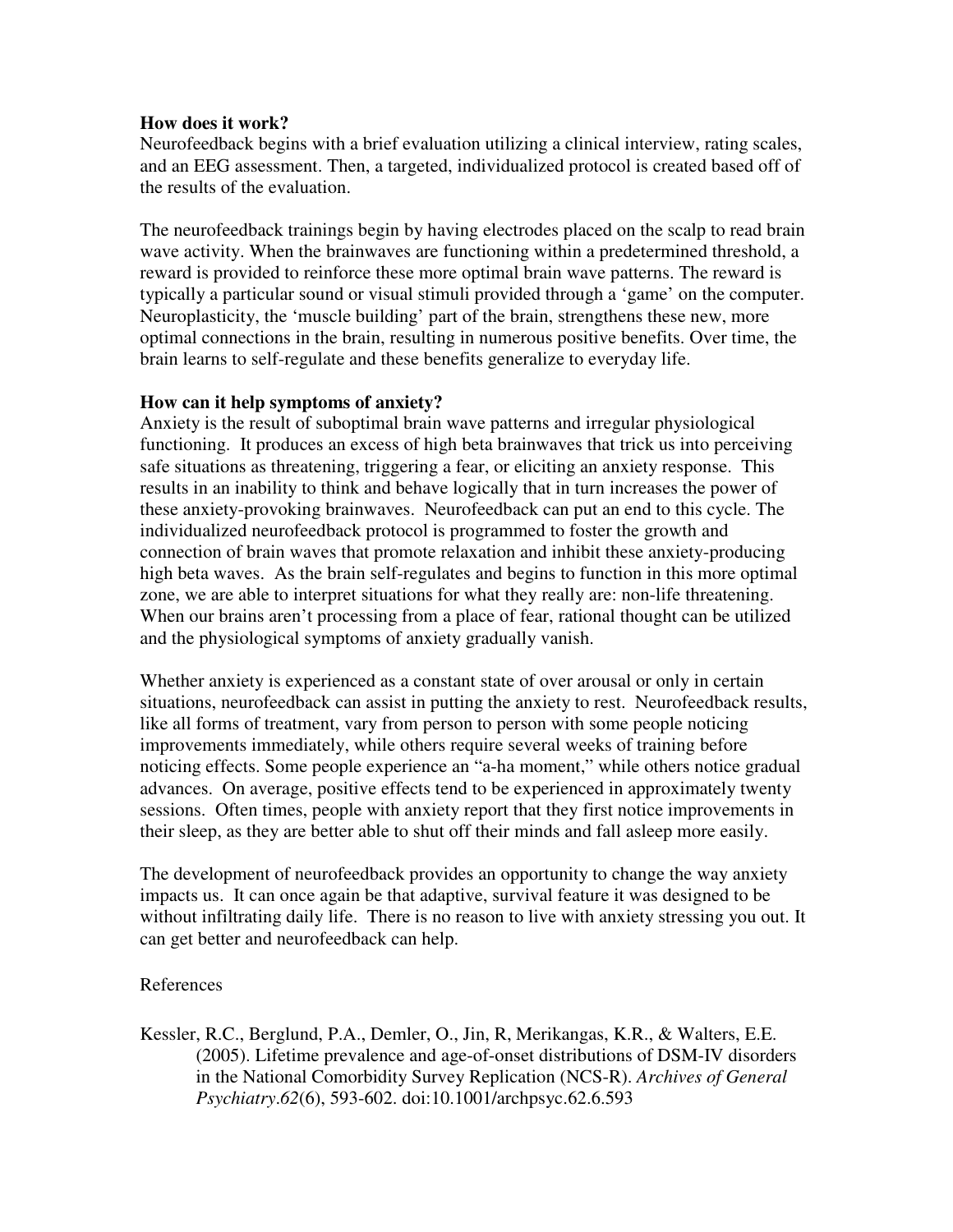### **How does it work?**

Neurofeedback begins with a brief evaluation utilizing a clinical interview, rating scales, and an EEG assessment. Then, a targeted, individualized protocol is created based off of the results of the evaluation.

The neurofeedback trainings begin by having electrodes placed on the scalp to read brain wave activity. When the brainwaves are functioning within a predetermined threshold, a reward is provided to reinforce these more optimal brain wave patterns. The reward is typically a particular sound or visual stimuli provided through a 'game' on the computer. Neuroplasticity, the 'muscle building' part of the brain, strengthens these new, more optimal connections in the brain, resulting in numerous positive benefits. Over time, the brain learns to self-regulate and these benefits generalize to everyday life.

#### **How can it help symptoms of anxiety?**

Anxiety is the result of suboptimal brain wave patterns and irregular physiological functioning. It produces an excess of high beta brainwaves that trick us into perceiving safe situations as threatening, triggering a fear, or eliciting an anxiety response. This results in an inability to think and behave logically that in turn increases the power of these anxiety-provoking brainwaves. Neurofeedback can put an end to this cycle. The individualized neurofeedback protocol is programmed to foster the growth and connection of brain waves that promote relaxation and inhibit these anxiety-producing high beta waves. As the brain self-regulates and begins to function in this more optimal zone, we are able to interpret situations for what they really are: non-life threatening. When our brains aren't processing from a place of fear, rational thought can be utilized and the physiological symptoms of anxiety gradually vanish.

Whether anxiety is experienced as a constant state of over arousal or only in certain situations, neurofeedback can assist in putting the anxiety to rest. Neurofeedback results, like all forms of treatment, vary from person to person with some people noticing improvements immediately, while others require several weeks of training before noticing effects. Some people experience an "a-ha moment," while others notice gradual advances. On average, positive effects tend to be experienced in approximately twenty sessions. Often times, people with anxiety report that they first notice improvements in their sleep, as they are better able to shut off their minds and fall asleep more easily.

The development of neurofeedback provides an opportunity to change the way anxiety impacts us. It can once again be that adaptive, survival feature it was designed to be without infiltrating daily life. There is no reason to live with anxiety stressing you out. It can get better and neurofeedback can help.

#### References

Kessler, R.C., Berglund, P.A., Demler, O., Jin, R, Merikangas, K.R., & Walters, E.E. (2005). Lifetime prevalence and age-of-onset distributions of DSM-IV disorders in the National Comorbidity Survey Replication (NCS-R). *Archives of General Psychiatry*.*62*(6), 593-602. doi:10.1001/archpsyc.62.6.593